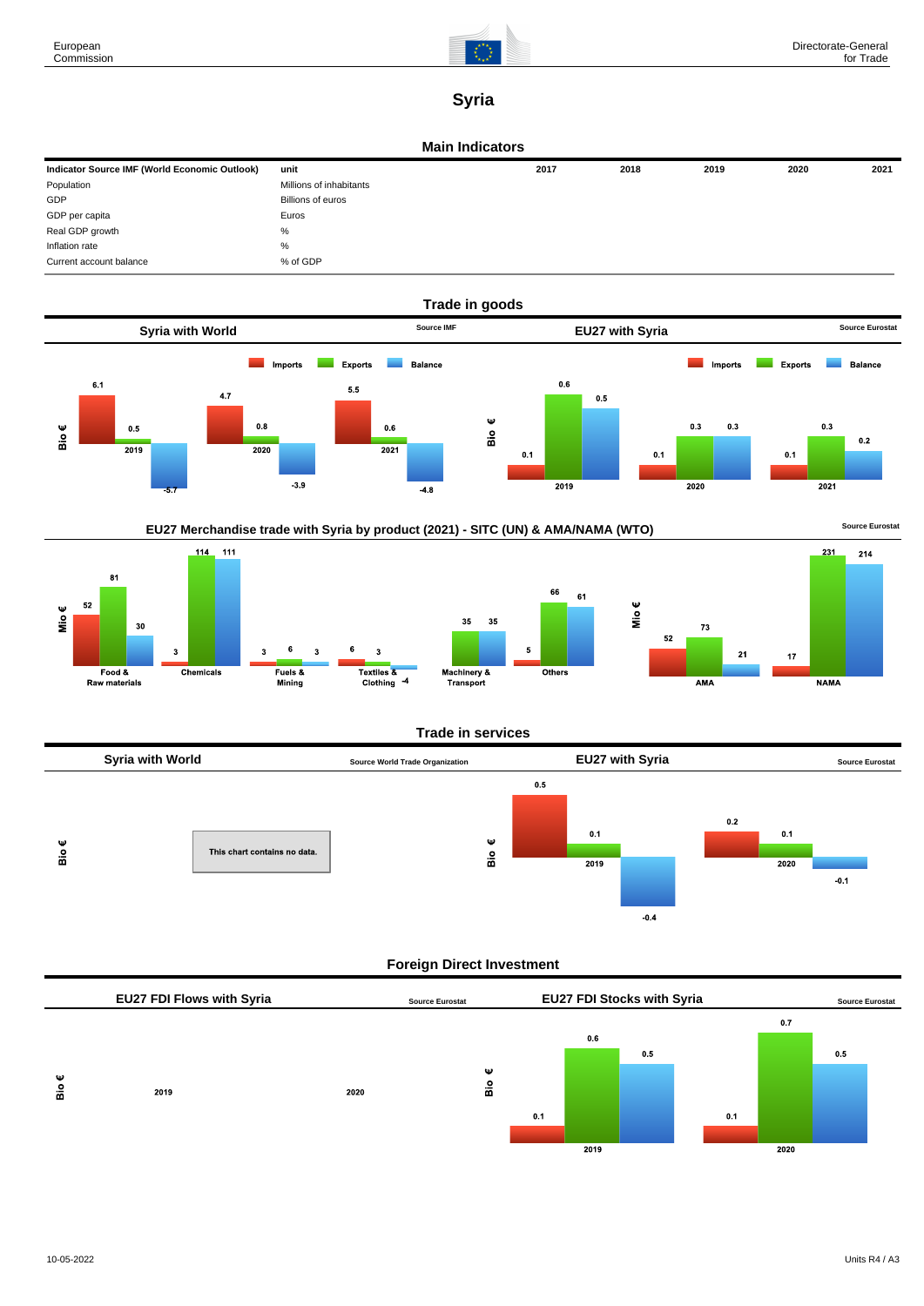

# **Syria**

#### **Main Indicators**

| Indicator Source IMF (World Economic Outlook) | unit                    | 2017 | 2018 | 2019 | 2020 | 2021 |
|-----------------------------------------------|-------------------------|------|------|------|------|------|
| Population                                    | Millions of inhabitants |      |      |      |      |      |
| GDP                                           | Billions of euros       |      |      |      |      |      |
| GDP per capita                                | Euros                   |      |      |      |      |      |
| Real GDP growth                               | %                       |      |      |      |      |      |
| Inflation rate                                | %                       |      |      |      |      |      |
| Current account balance                       | % of GDP                |      |      |      |      |      |







### **Trade in services**



# **Foreign Direct Investment**

|   | EU27 FDI Flows with Syria |      | <b>Source Eurostat</b> |     | <b>EU27 FDI Stocks with Syria</b> |     |     |      | <b>Source Eurostat</b> |
|---|---------------------------|------|------------------------|-----|-----------------------------------|-----|-----|------|------------------------|
|   |                           |      |                        |     |                                   |     |     | 0.7  |                        |
|   |                           |      |                        |     | 0.6                               |     |     |      |                        |
|   |                           |      |                        |     |                                   | 0.5 |     |      | 0.5                    |
| Ψ |                           |      | Ψ                      |     |                                   |     |     |      |                        |
| å | 2019                      | 2020 | Вiо                    |     |                                   |     |     |      |                        |
|   |                           |      |                        |     |                                   |     |     |      |                        |
|   |                           |      |                        | 0.1 |                                   |     | 0.1 |      |                        |
|   |                           |      |                        |     |                                   |     |     |      |                        |
|   |                           |      |                        |     | 2019                              |     |     | 2020 |                        |